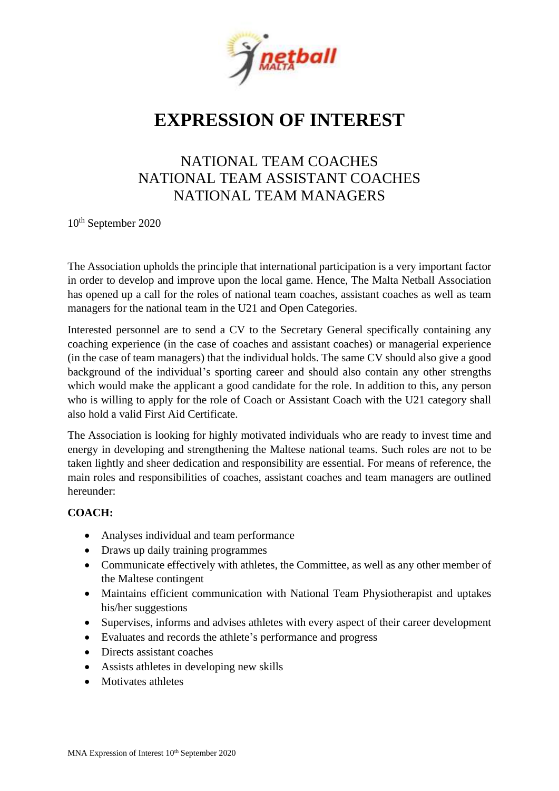

## **EXPRESSION OF INTEREST**

## NATIONAL TEAM COACHES NATIONAL TEAM ASSISTANT COACHES NATIONAL TEAM MANAGERS

10th September 2020

The Association upholds the principle that international participation is a very important factor in order to develop and improve upon the local game. Hence, The Malta Netball Association has opened up a call for the roles of national team coaches, assistant coaches as well as team managers for the national team in the U21 and Open Categories.

Interested personnel are to send a CV to the Secretary General specifically containing any coaching experience (in the case of coaches and assistant coaches) or managerial experience (in the case of team managers) that the individual holds. The same CV should also give a good background of the individual's sporting career and should also contain any other strengths which would make the applicant a good candidate for the role. In addition to this, any person who is willing to apply for the role of Coach or Assistant Coach with the U21 category shall also hold a valid First Aid Certificate.

The Association is looking for highly motivated individuals who are ready to invest time and energy in developing and strengthening the Maltese national teams. Such roles are not to be taken lightly and sheer dedication and responsibility are essential. For means of reference, the main roles and responsibilities of coaches, assistant coaches and team managers are outlined hereunder:

### **COACH:**

- Analyses individual and team performance
- Draws up daily training programmes
- Communicate effectively with athletes, the Committee, as well as any other member of the Maltese contingent
- Maintains efficient communication with National Team Physiotherapist and uptakes his/her suggestions
- Supervises, informs and advises athletes with every aspect of their career development
- Evaluates and records the athlete's performance and progress
- Directs assistant coaches
- Assists athletes in developing new skills
- Motivates athletes